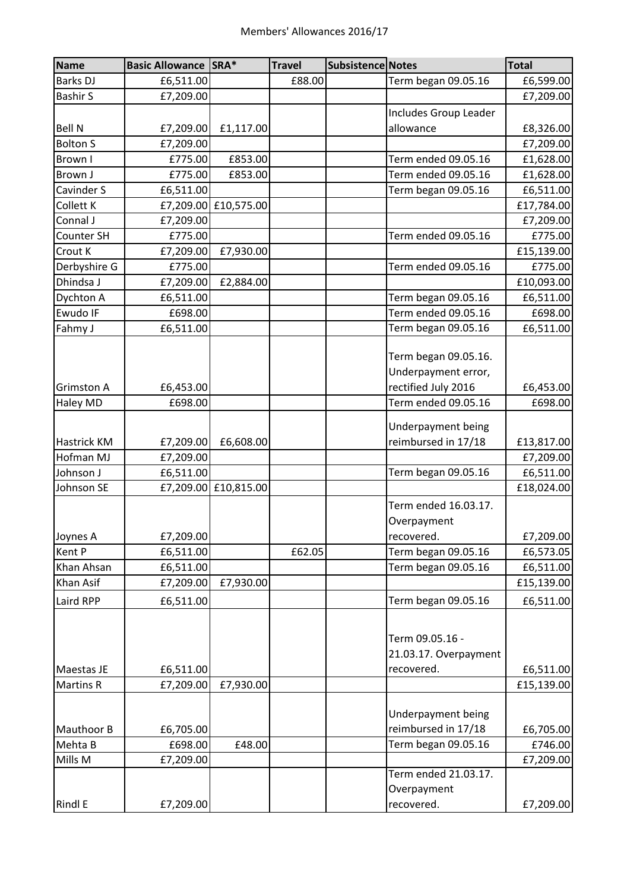| <b>Name</b>       | <b>Basic Allowance SRA*</b> |                      | <b>Travel</b> | <b>Subsistence Notes</b> |                                                        | <b>Total</b> |
|-------------------|-----------------------------|----------------------|---------------|--------------------------|--------------------------------------------------------|--------------|
| <b>Barks DJ</b>   | £6,511.00                   |                      | £88.00        |                          | Term began 09.05.16                                    | £6,599.00    |
| <b>Bashir S</b>   | £7,209.00                   |                      |               |                          |                                                        | £7,209.00    |
|                   |                             |                      |               |                          | Includes Group Leader                                  |              |
| <b>Bell N</b>     | £7,209.00                   | £1,117.00            |               |                          | allowance                                              | £8,326.00    |
| <b>Bolton S</b>   | £7,209.00                   |                      |               |                          |                                                        | £7,209.00    |
| Brown I           | £775.00                     | £853.00              |               |                          | Term ended 09.05.16                                    | £1,628.00    |
| Brown J           | £775.00                     | £853.00              |               |                          | Term ended 09.05.16                                    | £1,628.00    |
| Cavinder S        | £6,511.00                   |                      |               |                          | Term began 09.05.16                                    | £6,511.00    |
| Collett K         |                             | £7,209.00 £10,575.00 |               |                          |                                                        | £17,784.00   |
| Connal J          | £7,209.00                   |                      |               |                          |                                                        | £7,209.00    |
| Counter SH        | £775.00                     |                      |               |                          | Term ended 09.05.16                                    | £775.00      |
| Crout K           | £7,209.00                   | £7,930.00            |               |                          |                                                        | £15,139.00   |
| Derbyshire G      | £775.00                     |                      |               |                          | Term ended 09.05.16                                    | £775.00      |
| Dhindsa J         | £7,209.00                   | £2,884.00            |               |                          |                                                        | £10,093.00   |
| Dychton A         | £6,511.00                   |                      |               |                          | Term began 09.05.16                                    | £6,511.00    |
| Ewudo IF          | £698.00                     |                      |               |                          | Term ended 09.05.16                                    | £698.00      |
| Fahmy J           | £6,511.00                   |                      |               |                          | Term began 09.05.16                                    | £6,511.00    |
|                   |                             |                      |               |                          | Term began 09.05.16.<br>Underpayment error,            |              |
| <b>Grimston A</b> | £6,453.00                   |                      |               |                          | rectified July 2016                                    | £6,453.00    |
| Haley MD          | £698.00                     |                      |               |                          | Term ended 09.05.16                                    | £698.00      |
|                   |                             |                      |               |                          | Underpayment being                                     |              |
| Hastrick KM       | £7,209.00                   | £6,608.00            |               |                          | reimbursed in 17/18                                    | £13,817.00   |
| Hofman MJ         | £7,209.00                   |                      |               |                          |                                                        | £7,209.00    |
| Johnson J         | £6,511.00                   |                      |               |                          | Term began 09.05.16                                    | £6,511.00    |
| Johnson SE        | £7,209.00                   | £10,815.00           |               |                          |                                                        | £18,024.00   |
|                   |                             |                      |               |                          | Term ended 16.03.17.<br>Overpayment                    |              |
| Joynes A          | £7,209.00                   |                      |               |                          | recovered.                                             | £7,209.00    |
| Kent P            | £6,511.00                   |                      | £62.05        |                          | Term began 09.05.16                                    | £6,573.05    |
| Khan Ahsan        | £6,511.00                   |                      |               |                          | Term began 09.05.16                                    | £6,511.00    |
| Khan Asif         | £7,209.00                   | £7,930.00            |               |                          |                                                        | £15,139.00   |
| Laird RPP         | £6,511.00                   |                      |               |                          | Term began 09.05.16                                    | £6,511.00    |
| Maestas JE        |                             |                      |               |                          | Term 09.05.16 -<br>21.03.17. Overpayment<br>recovered. |              |
|                   | £6,511.00                   | £7,930.00            |               |                          |                                                        | £6,511.00    |
| <b>Martins R</b>  | £7,209.00                   |                      |               |                          |                                                        | £15,139.00   |
|                   |                             |                      |               |                          | Underpayment being                                     |              |
| Mauthoor B        | £6,705.00                   |                      |               |                          | reimbursed in 17/18                                    | £6,705.00    |
| Mehta B           | £698.00                     | £48.00               |               |                          | Term began 09.05.16                                    | £746.00      |
| Mills M           | £7,209.00                   |                      |               |                          | Term ended 21.03.17.                                   | £7,209.00    |
|                   |                             |                      |               |                          | Overpayment                                            |              |
| Rindl E           | £7,209.00                   |                      |               |                          | recovered.                                             | £7,209.00    |
|                   |                             |                      |               |                          |                                                        |              |